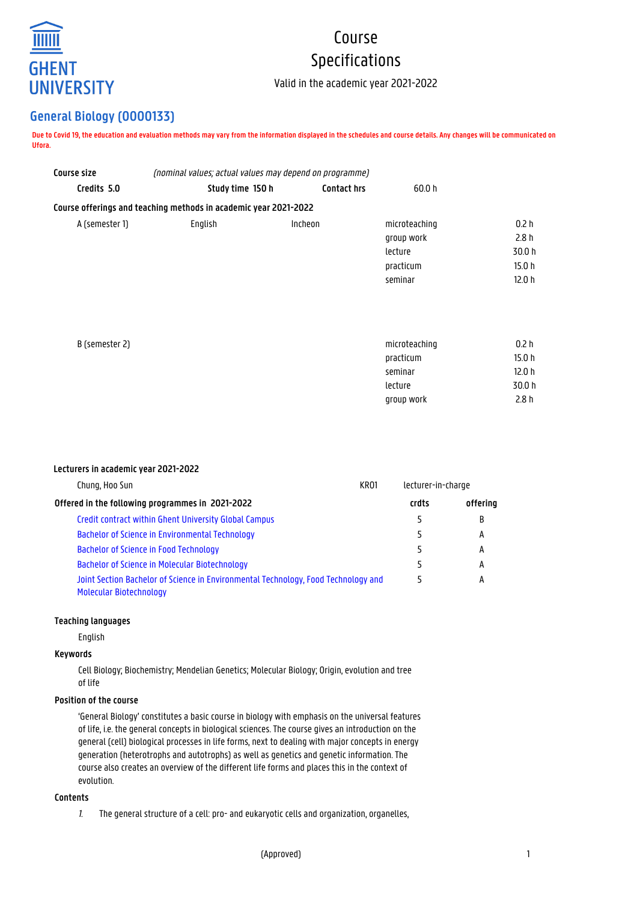

# Course Specifications

Valid in the academic year 2021-2022

# **General Biology (O000133)**

**Due to Covid 19, the education and evaluation methods may vary from the information displayed in the schedules and course details. Any changes will be communicated on Ufora.**

| Course size    | (nominal values; actual values may depend on programme)          |             |               |                   |
|----------------|------------------------------------------------------------------|-------------|---------------|-------------------|
| Credits 5.0    | Study time 150 h                                                 | Contact hrs | 60.0 h        |                   |
|                | Course offerings and teaching methods in academic year 2021-2022 |             |               |                   |
| A (semester 1) | English                                                          | Incheon     | microteaching | 0.2 <sub>h</sub>  |
|                |                                                                  |             | group work    | 2.8h              |
|                |                                                                  |             | lecture       | 30.0 h            |
|                |                                                                  |             | practicum     | 15.0 <sub>h</sub> |
|                |                                                                  |             | seminar       | 12.0 <sub>h</sub> |
|                |                                                                  |             |               |                   |
|                |                                                                  |             |               |                   |
| B (semester 2) |                                                                  |             | microteaching | 0.2 <sub>h</sub>  |
|                |                                                                  |             | practicum     | 15.0 <sub>h</sub> |
|                |                                                                  |             | seminar       | 12.0 <sub>h</sub> |
|                |                                                                  |             | lecture       | 30.0 h            |
|                |                                                                  |             | group work    | 2.8h              |

# **Lecturers in academic year 2021-2022**

| KR <sub>01</sub><br>Chung, Hoo Sun                                                                            |  | lecturer-in-charge |          |
|---------------------------------------------------------------------------------------------------------------|--|--------------------|----------|
| Offered in the following programmes in 2021-2022                                                              |  | crdts              | offering |
| Credit contract within Ghent University Global Campus                                                         |  | 5                  | B        |
| <b>Bachelor of Science in Environmental Technology</b>                                                        |  | 5                  | А        |
| Bachelor of Science in Food Technology                                                                        |  |                    | А        |
| Bachelor of Science in Molecular Biotechnology                                                                |  | 5                  | А        |
| Joint Section Bachelor of Science in Environmental Technology, Food Technology and<br>Molecular Biotechnology |  | 5                  | А        |

#### **Teaching languages**

English

# **Keywords**

Cell Biology; Biochemistry; Mendelian Genetics; Molecular Biology; Origin, evolution and tree of life

# **Position of the course**

'General Biology' constitutes a basic course in biology with emphasis on the universal features of life, i.e. the general concepts in biological sciences. The course gives an introduction on the general (cell) biological processes in life forms, next to dealing with major concepts in energy generation (heterotrophs and autotrophs) as well as genetics and genetic information. The course also creates an overview of the different life forms and places this in the context of evolution.

# **Contents**

1. The general structure of a cell: pro- and eukaryotic cells and organization, organelles,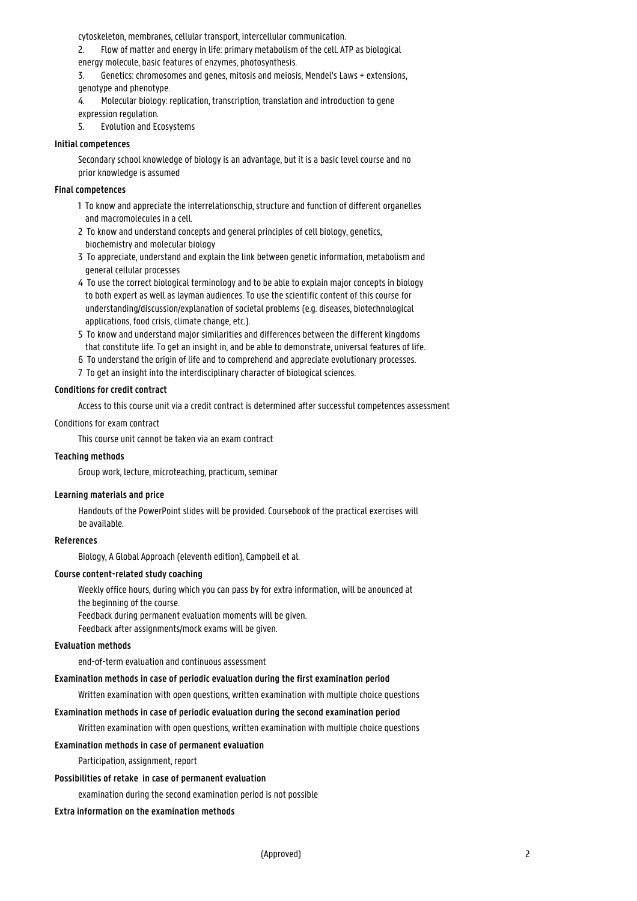cytoskeleton, membranes, cellular transport, intercellular communication.

2. Flow of matter and energy in life: primary metabolism of the cell. ATP as biological energy molecule, basic features of enzymes, photosynthesis.

3. Genetics: chromosomes and genes, mitosis and meiosis, Mendel's Laws + extensions, genotype and phenotype.

4. Molecular biology: replication, transcription, translation and introduction to gene expression regulation.

5. Evolution and Ecosystems

#### **Initial competences**

Secondary school knowledge of biology is an advantage, but it is a basic level course and no prior knowledge is assumed

#### **Final competences**

- 1 To know and appreciate the interrelationschip, structure and function of different organelles and macromolecules in a cell.
- 2 To know and understand concepts and general principles of cell biology, genetics, 1 biochemistry and molecular biology
- 3 To appreciate, understand and explain the link between genetic information, metabolism and 1 general cellular processes
- 4 To use the correct biological terminology and to be able to explain major concepts in biology to both expert as well as layman audiences. To use the scientific content of this course for understanding/discussion/explanation of societal problems (e.g. diseases, biotechnological applications, food crisis, climate change, etc.).
- 5 To know and understand major similarities and differences between the different kingdoms that constitute life. To get an insight in, and be able to demonstrate, universal features of life.
- 6 To understand the origin of life and to comprehend and appreciate evolutionary processes.
- 7 To get an insight into the interdisciplinary character of biological sciences.

# **Conditions for credit contract**

Access to this course unit via a credit contract is determined after successful competences assessment

# Conditions for exam contract

This course unit cannot be taken via an exam contract

#### **Teaching methods**

Group work, lecture, microteaching, practicum, seminar

#### **Learning materials and price**

Handouts of the PowerPoint slides will be provided. Coursebook of the practical exercises will be available.

#### **References**

Biology, A Global Approach (eleventh edition), Campbell et al.

#### **Course content-related study coaching**

Weekly office hours, during which you can pass by for extra information, will be anounced at the beginning of the course.

Feedback during permanent evaluation moments will be given.

Feedback after assignments/mock exams will be given.

## **Evaluation methods**

end-of-term evaluation and continuous assessment

#### **Examination methods in case of periodic evaluation during the first examination period**

Written examination with open questions, written examination with multiple choice questions

# **Examination methods in case of periodic evaluation during the second examination period**

Written examination with open questions, written examination with multiple choice questions

# **Examination methods in case of permanent evaluation**

Participation, assignment, report

### **Possibilities of retake in case of permanent evaluation**

examination during the second examination period is not possible

#### **Extra information on the examination methods**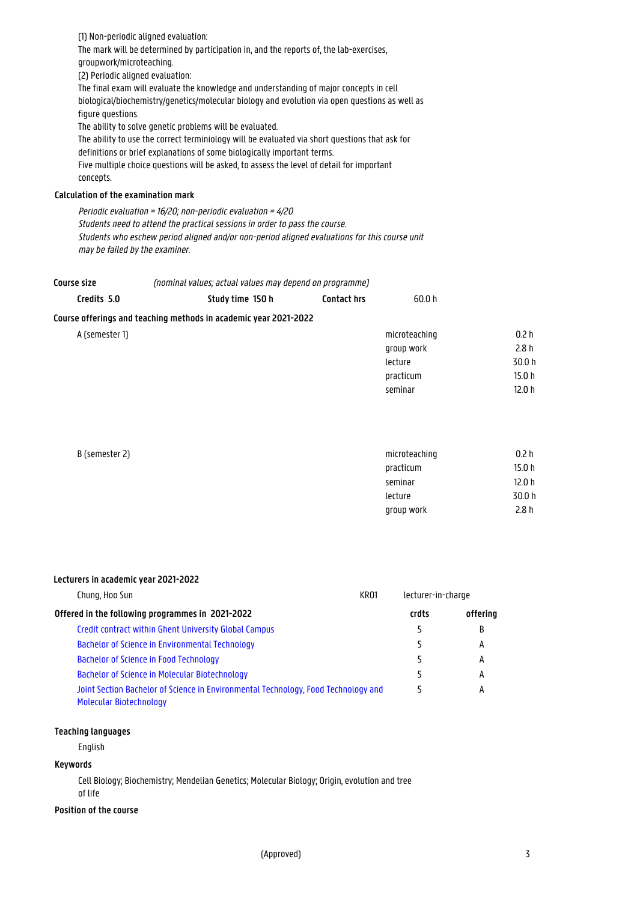(1) Non-periodic aligned evaluation: The mark will be determined by participation in, and the reports of, the lab-exercises, groupwork/microteaching. (2) Periodic aligned evaluation: The final exam will evaluate the knowledge and understanding of major concepts in cell biological/biochemistry/genetics/molecular biology and evolution via open questions as well as figure questions. The ability to solve genetic problems will be evaluated. The ability to use the correct terminiology will be evaluated via short questions that ask for definitions or brief explanations of some biologically important terms. Five multiple choice questions will be asked, to assess the level of detail for important concepts. **Calculation of the examination mark**

Periodic evaluation = 16/20; non-periodic evaluation = 4/20 Students need to attend the practical sessions in order to pass the course. Students who eschew period aligned and/or non-period aligned evaluations for this course unit may be failed by the examiner.

(nominal values; actual values may depend on programme) **Course size**

| Credits 5.0    | Study time 150 h                                                 | <b>Contact hrs</b> | 60.0 h        |                   |
|----------------|------------------------------------------------------------------|--------------------|---------------|-------------------|
|                | Course offerings and teaching methods in academic year 2021-2022 |                    |               |                   |
| A (semester 1) |                                                                  |                    | microteaching | 0.2 <sub>h</sub>  |
|                |                                                                  |                    | group work    | 2.8h              |
|                |                                                                  |                    | lecture       | 30.0 h            |
|                |                                                                  |                    | practicum     | 15.0 <sub>h</sub> |
|                |                                                                  |                    | seminar       | 12.0h             |
|                |                                                                  |                    |               |                   |

| B (semester 2) | microteaching | 0.2 h  |
|----------------|---------------|--------|
|                | practicum     | 15.0 h |
|                | seminar       | 12.0 h |
|                | lecture       | 30.0 h |
|                | group work    | 2.8 h  |
|                |               |        |

# **Lecturers in academic year 2021-2022**

| KR <sub>01</sub><br>Chung, Hoo Sun                                                                                   |  | lecturer-in-charge |          |
|----------------------------------------------------------------------------------------------------------------------|--|--------------------|----------|
| Offered in the following programmes in 2021-2022                                                                     |  | crdts              | offering |
| Credit contract within Ghent University Global Campus                                                                |  | 5                  | B        |
| <b>Bachelor of Science in Environmental Technology</b>                                                               |  |                    | А        |
| <b>Bachelor of Science in Food Technology</b>                                                                        |  |                    | А        |
| Bachelor of Science in Molecular Biotechnology                                                                       |  | 5                  | А        |
| Joint Section Bachelor of Science in Environmental Technology, Food Technology and<br><b>Molecular Biotechnology</b> |  | 5                  | А        |

# **Teaching languages**

English

#### **Keywords**

Cell Biology; Biochemistry; Mendelian Genetics; Molecular Biology; Origin, evolution and tree of life

#### **Position of the course**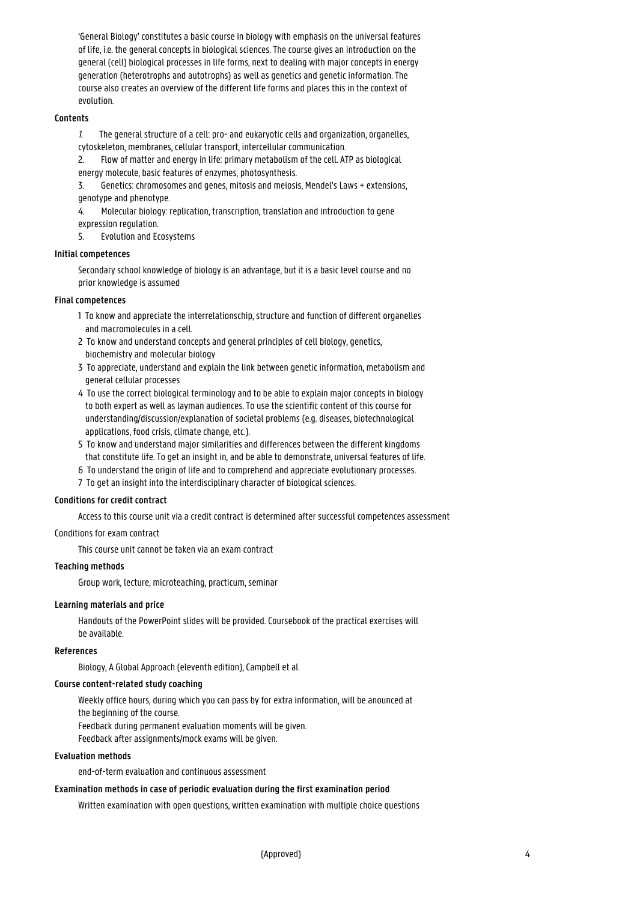'General Biology' constitutes a basic course in biology with emphasis on the universal features of life, i.e. the general concepts in biological sciences. The course gives an introduction on the general (cell) biological processes in life forms, next to dealing with major concepts in energy generation (heterotrophs and autotrophs) as well as genetics and genetic information. The course also creates an overview of the different life forms and places this in the context of evolution.

# **Contents**

1. The general structure of a cell: pro- and eukaryotic cells and organization, organelles, cytoskeleton, membranes, cellular transport, intercellular communication.

2. Flow of matter and energy in life: primary metabolism of the cell. ATP as biological energy molecule, basic features of enzymes, photosynthesis.

3. Genetics: chromosomes and genes, mitosis and meiosis, Mendel's Laws + extensions, genotype and phenotype.

4. Molecular biology: replication, transcription, translation and introduction to gene expression regulation.

5. Evolution and Ecosystems

# **Initial competences**

Secondary school knowledge of biology is an advantage, but it is a basic level course and no prior knowledge is assumed

# **Final competences**

- 1 To know and appreciate the interrelationschip, structure and function of different organelles and macromolecules in a cell.
- 2 To know and understand concepts and general principles of cell biology, genetics, biochemistry and molecular biology
- 3 To appreciate, understand and explain the link between genetic information, metabolism and general cellular processes
- 4 To use the correct biological terminology and to be able to explain major concepts in biology to both expert as well as layman audiences. To use the scientific content of this course for 1 understanding/discussion/explanation of societal problems (e.g. diseases, biotechnological applications, food crisis, climate change, etc.).
- 5 To know and understand major similarities and differences between the different kingdoms that constitute life. To get an insight in, and be able to demonstrate, universal features of life.
- 6 To understand the origin of life and to comprehend and appreciate evolutionary processes.
- 7 To get an insight into the interdisciplinary character of biological sciences.

#### **Conditions for credit contract**

Access to this course unit via a credit contract is determined after successful competences assessment

#### Conditions for exam contract

This course unit cannot be taken via an exam contract

#### **Teaching methods**

Group work, lecture, microteaching, practicum, seminar

#### **Learning materials and price**

Handouts of the PowerPoint slides will be provided. Coursebook of the practical exercises will be available.

# **References**

Biology, A Global Approach (eleventh edition), Campbell et al.

# **Course content-related study coaching**

Weekly office hours, during which you can pass by for extra information, will be anounced at the beginning of the course. Feedback during permanent evaluation moments will be given. Feedback after assignments/mock exams will be given.

#### **Evaluation methods**

end-of-term evaluation and continuous assessment

#### **Examination methods in case of periodic evaluation during the first examination period**

Written examination with open questions, written examination with multiple choice questions